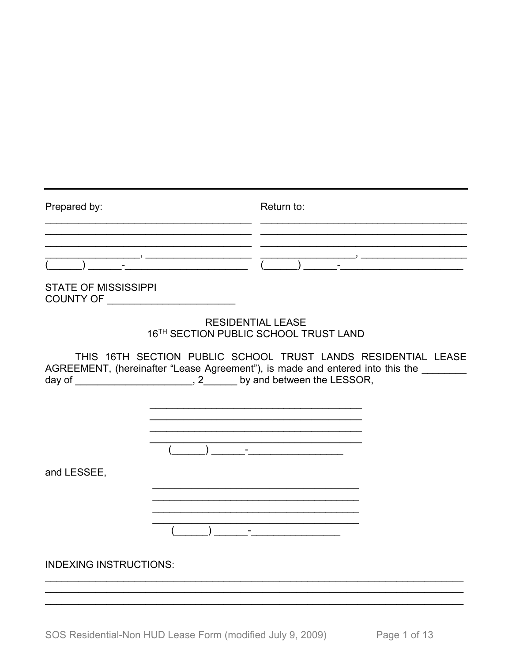| Prepared by:                                                      |                                       | Return to:                                                                                                                                                                                                                                                                                                                                                          |  |
|-------------------------------------------------------------------|---------------------------------------|---------------------------------------------------------------------------------------------------------------------------------------------------------------------------------------------------------------------------------------------------------------------------------------------------------------------------------------------------------------------|--|
| <b>STATE OF MISSISSIPPI</b><br>COUNTY OF ________________________ |                                       |                                                                                                                                                                                                                                                                                                                                                                     |  |
|                                                                   | <b>RESIDENTIAL LEASE</b>              | 16TH SECTION PUBLIC SCHOOL TRUST LAND                                                                                                                                                                                                                                                                                                                               |  |
|                                                                   |                                       | THIS 16TH SECTION PUBLIC SCHOOL TRUST LANDS RESIDENTIAL LEASE<br>AGREEMENT, (hereinafter "Lease Agreement"), is made and entered into this the _______<br>day of _________________________, 2_______ by and between the LESSOR,                                                                                                                                     |  |
| and LESSEE,                                                       | $\overline{a}$ ) and $\overline{a}$ - |                                                                                                                                                                                                                                                                                                                                                                     |  |
| <b>INDEXING INSTRUCTIONS:</b>                                     |                                       | $\begin{picture}(20,10) \put(0,0){\vector(1,0){100}} \put(15,0){\vector(1,0){100}} \put(15,0){\vector(1,0){100}} \put(15,0){\vector(1,0){100}} \put(15,0){\vector(1,0){100}} \put(15,0){\vector(1,0){100}} \put(15,0){\vector(1,0){100}} \put(15,0){\vector(1,0){100}} \put(15,0){\vector(1,0){100}} \put(15,0){\vector(1,0){100}} \put(15,0){\vector(1,0){100}} \$ |  |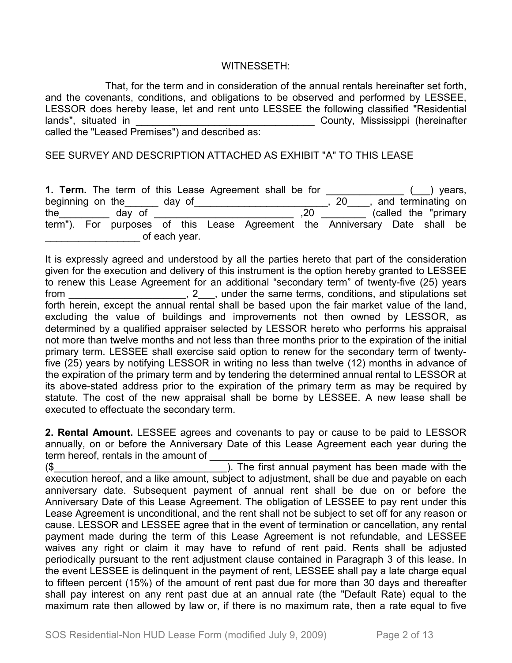## WITNESSETH:

That, for the term and in consideration of the annual rentals hereinafter set forth, and the covenants, conditions, and obligations to be observed and performed by LESSEE, LESSOR does hereby lease, let and rent unto LESSEE the following classified "Residential lands", situated in **Exercise 2018** County, Mississippi (hereinafter called the "Leased Premises") and described as:

SEE SURVEY AND DESCRIPTION ATTACHED AS EXHIBIT "A" TO THIS LEASE

|                  |        |        |               | 1. Term. The term of this Lease Agreement shall be for |     |                                                                            |                        | years, |
|------------------|--------|--------|---------------|--------------------------------------------------------|-----|----------------------------------------------------------------------------|------------------------|--------|
| beginning on the |        | day of |               |                                                        |     | 20                                                                         | and terminating on     |        |
| the              | day of |        |               |                                                        | .20 |                                                                            | (called the "primary") |        |
|                  |        |        |               |                                                        |     | term"). For purposes of this Lease Agreement the Anniversary Date shall be |                        |        |
|                  |        |        | of each year. |                                                        |     |                                                                            |                        |        |

It is expressly agreed and understood by all the parties hereto that part of the consideration given for the execution and delivery of this instrument is the option hereby granted to LESSEE to renew this Lease Agreement for an additional "secondary term" of twenty-five (25) years from \_\_\_\_\_\_\_\_\_\_\_\_\_\_\_\_\_\_\_\_\_, 2\_\_\_, under the same terms, conditions, and stipulations set forth herein, except the annual rental shall be based upon the fair market value of the land, excluding the value of buildings and improvements not then owned by LESSOR, as determined by a qualified appraiser selected by LESSOR hereto who performs his appraisal not more than twelve months and not less than three months prior to the expiration of the initial primary term. LESSEE shall exercise said option to renew for the secondary term of twentyfive (25) years by notifying LESSOR in writing no less than twelve (12) months in advance of the expiration of the primary term and by tendering the determined annual rental to LESSOR at its above-stated address prior to the expiration of the primary term as may be required by statute. The cost of the new appraisal shall be borne by LESSEE. A new lease shall be executed to effectuate the secondary term.

**2. Rental Amount.** LESSEE agrees and covenants to pay or cause to be paid to LESSOR annually, on or before the Anniversary Date of this Lease Agreement each year during the term hereof, rentals in the amount of

(\$\_\_\_\_\_\_\_\_\_\_\_\_\_\_\_\_\_\_\_\_\_\_\_\_\_\_\_\_\_\_\_). The first annual payment has been made with the execution hereof, and a like amount, subject to adjustment, shall be due and payable on each anniversary date. Subsequent payment of annual rent shall be due on or before the Anniversary Date of this Lease Agreement. The obligation of LESSEE to pay rent under this Lease Agreement is unconditional, and the rent shall not be subject to set off for any reason or cause. LESSOR and LESSEE agree that in the event of termination or cancellation, any rental payment made during the term of this Lease Agreement is not refundable, and LESSEE waives any right or claim it may have to refund of rent paid. Rents shall be adjusted periodically pursuant to the rent adjustment clause contained in Paragraph 3 of this lease. In the event LESSEE is delinquent in the payment of rent, LESSEE shall pay a late charge equal to fifteen percent (15%) of the amount of rent past due for more than 30 days and thereafter shall pay interest on any rent past due at an annual rate (the "Default Rate) equal to the maximum rate then allowed by law or, if there is no maximum rate, then a rate equal to five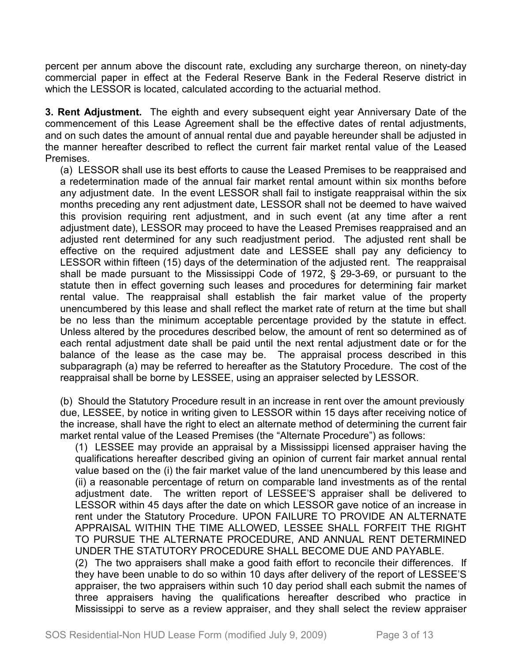percent per annum above the discount rate, excluding any surcharge thereon, on ninety-day commercial paper in effect at the Federal Reserve Bank in the Federal Reserve district in which the LESSOR is located, calculated according to the actuarial method.

**3. Rent Adjustment.** The eighth and every subsequent eight year Anniversary Date of the commencement of this Lease Agreement shall be the effective dates of rental adjustments, and on such dates the amount of annual rental due and payable hereunder shall be adjusted in the manner hereafter described to reflect the current fair market rental value of the Leased Premises.

(a) LESSOR shall use its best efforts to cause the Leased Premises to be reappraised and a redetermination made of the annual fair market rental amount within six months before any adjustment date. In the event LESSOR shall fail to instigate reappraisal within the six months preceding any rent adjustment date, LESSOR shall not be deemed to have waived this provision requiring rent adjustment, and in such event (at any time after a rent adjustment date), LESSOR may proceed to have the Leased Premises reappraised and an adjusted rent determined for any such readjustment period. The adjusted rent shall be effective on the required adjustment date and LESSEE shall pay any deficiency to LESSOR within fifteen (15) days of the determination of the adjusted rent. The reappraisal shall be made pursuant to the Mississippi Code of 1972, § 29-3-69, or pursuant to the statute then in effect governing such leases and procedures for determining fair market rental value. The reappraisal shall establish the fair market value of the property unencumbered by this lease and shall reflect the market rate of return at the time but shall be no less than the minimum acceptable percentage provided by the statute in effect. Unless altered by the procedures described below, the amount of rent so determined as of each rental adjustment date shall be paid until the next rental adjustment date or for the balance of the lease as the case may be. The appraisal process described in this subparagraph (a) may be referred to hereafter as the Statutory Procedure. The cost of the reappraisal shall be borne by LESSEE, using an appraiser selected by LESSOR.

(b) Should the Statutory Procedure result in an increase in rent over the amount previously due, LESSEE, by notice in writing given to LESSOR within 15 days after receiving notice of the increase, shall have the right to elect an alternate method of determining the current fair market rental value of the Leased Premises (the "Alternate Procedure") as follows:

(1) LESSEE may provide an appraisal by a Mississippi licensed appraiser having the qualifications hereafter described giving an opinion of current fair market annual rental value based on the (i) the fair market value of the land unencumbered by this lease and (ii) a reasonable percentage of return on comparable land investments as of the rental adjustment date. The written report of LESSEE'S appraiser shall be delivered to LESSOR within 45 days after the date on which LESSOR gave notice of an increase in rent under the Statutory Procedure. UPON FAILURE TO PROVIDE AN ALTERNATE APPRAISAL WITHIN THE TIME ALLOWED, LESSEE SHALL FORFEIT THE RIGHT TO PURSUE THE ALTERNATE PROCEDURE, AND ANNUAL RENT DETERMINED UNDER THE STATUTORY PROCEDURE SHALL BECOME DUE AND PAYABLE.

(2) The two appraisers shall make a good faith effort to reconcile their differences. If they have been unable to do so within 10 days after delivery of the report of LESSEE'S appraiser, the two appraisers within such 10 day period shall each submit the names of three appraisers having the qualifications hereafter described who practice in Mississippi to serve as a review appraiser, and they shall select the review appraiser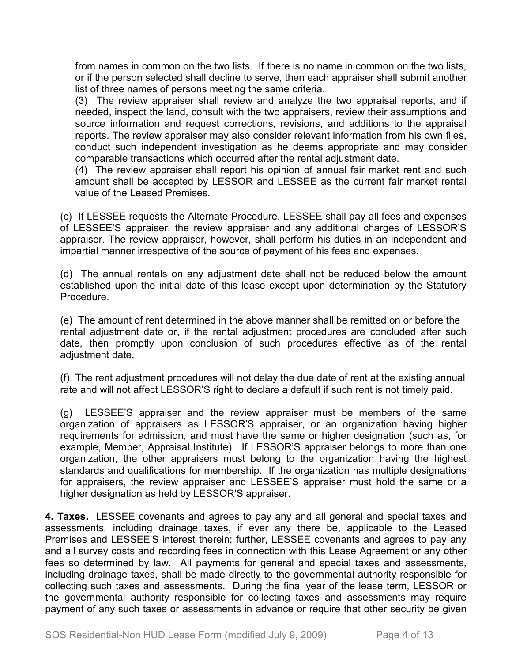from names in common on the two lists. If there is no name in common on the two lists, or if the person selected shall decline to serve, then each appraiser shall submit another list of three names of persons meeting the same criteria.

(3) The review appraiser shall review and analyze the two appraisal reports, and if needed, inspect the land, consult with the two appraisers, review their assumptions and source information and request corrections, revisions, and additions to the appraisal reports. The review appraiser may also consider relevant information from his own files, conduct such independent investigation as he deems appropriate and may consider comparable transactions which occurred after the rental adjustment date.

(4) The review appraiser shall report his opinion of annual fair market rent and such amount shall be accepted by LESSOR and LESSEE as the current fair market rental value of the Leased Premises.

(c) If LESSEE requests the Alternate Procedure, LESSEE shall pay all fees and expenses of LESSEE'S appraiser, the review appraiser and any additional charges of LESSOR'S appraiser. The review appraiser, however, shall perform his duties in an independent and impartial manner irrespective of the source of payment of his fees and expenses.

(d) The annual rentals on any adjustment date shall not be reduced below the amount established upon the initial date of this lease except upon determination by the Statutory Procedure.

(e) The amount of rent determined in the above manner shall be remitted on or before the rental adjustment date or, if the rental adjustment procedures are concluded after such date, then promptly upon conclusion of such procedures effective as of the rental adjustment date.

(f) The rent adjustment procedures will not delay the due date of rent at the existing annual rate and will not affect LESSOR'S right to declare a default if such rent is not timely paid.

(g) LESSEE'S appraiser and the review appraiser must be members of the same organization of appraisers as LESSOR'S appraiser, or an organization having higher requirements for admission, and must have the same or higher designation (such as, for example, Member, Appraisal Institute). If LESSOR'S appraiser belongs to more than one organization, the other appraisers must belong to the organization having the highest standards and qualifications for membership. If the organization has multiple designations for appraisers, the review appraiser and LESSEE'S appraiser must hold the same or a higher designation as held by LESSOR'S appraiser.

**4. Taxes.** LESSEE covenants and agrees to pay any and all general and special taxes and assessments, including drainage taxes, if ever any there be, applicable to the Leased Premises and LESSEE'S interest therein; further, LESSEE covenants and agrees to pay any and all survey costs and recording fees in connection with this Lease Agreement or any other fees so determined by law. All payments for general and special taxes and assessments, including drainage taxes, shall be made directly to the governmental authority responsible for collecting such taxes and assessments. During the final year of the lease term, LESSOR or the governmental authority responsible for collecting taxes and assessments may require payment of any such taxes or assessments in advance or require that other security be given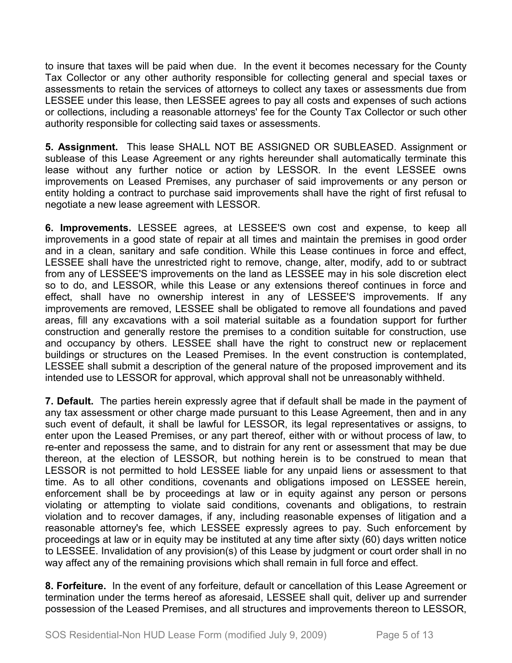to insure that taxes will be paid when due. In the event it becomes necessary for the County Tax Collector or any other authority responsible for collecting general and special taxes or assessments to retain the services of attorneys to collect any taxes or assessments due from LESSEE under this lease, then LESSEE agrees to pay all costs and expenses of such actions or collections, including a reasonable attorneys' fee for the County Tax Collector or such other authority responsible for collecting said taxes or assessments.

**5. Assignment.** This lease SHALL NOT BE ASSIGNED OR SUBLEASED. Assignment or sublease of this Lease Agreement or any rights hereunder shall automatically terminate this lease without any further notice or action by LESSOR. In the event LESSEE owns improvements on Leased Premises, any purchaser of said improvements or any person or entity holding a contract to purchase said improvements shall have the right of first refusal to negotiate a new lease agreement with LESSOR.

**6. Improvements.** LESSEE agrees, at LESSEE'S own cost and expense, to keep all improvements in a good state of repair at all times and maintain the premises in good order and in a clean, sanitary and safe condition. While this Lease continues in force and effect, LESSEE shall have the unrestricted right to remove, change, alter, modify, add to or subtract from any of LESSEE'S improvements on the land as LESSEE may in his sole discretion elect so to do, and LESSOR, while this Lease or any extensions thereof continues in force and effect, shall have no ownership interest in any of LESSEE'S improvements. If any improvements are removed, LESSEE shall be obligated to remove all foundations and paved areas, fill any excavations with a soil material suitable as a foundation support for further construction and generally restore the premises to a condition suitable for construction, use and occupancy by others. LESSEE shall have the right to construct new or replacement buildings or structures on the Leased Premises. In the event construction is contemplated, LESSEE shall submit a description of the general nature of the proposed improvement and its intended use to LESSOR for approval, which approval shall not be unreasonably withheld.

**7. Default.** The parties herein expressly agree that if default shall be made in the payment of any tax assessment or other charge made pursuant to this Lease Agreement, then and in any such event of default, it shall be lawful for LESSOR, its legal representatives or assigns, to enter upon the Leased Premises, or any part thereof, either with or without process of law, to re-enter and repossess the same, and to distrain for any rent or assessment that may be due thereon, at the election of LESSOR, but nothing herein is to be construed to mean that LESSOR is not permitted to hold LESSEE liable for any unpaid liens or assessment to that time. As to all other conditions, covenants and obligations imposed on LESSEE herein, enforcement shall be by proceedings at law or in equity against any person or persons violating or attempting to violate said conditions, covenants and obligations, to restrain violation and to recover damages, if any, including reasonable expenses of litigation and a reasonable attorney's fee, which LESSEE expressly agrees to pay. Such enforcement by proceedings at law or in equity may be instituted at any time after sixty (60) days written notice to LESSEE. Invalidation of any provision(s) of this Lease by judgment or court order shall in no way affect any of the remaining provisions which shall remain in full force and effect.

**8. Forfeiture.** In the event of any forfeiture, default or cancellation of this Lease Agreement or termination under the terms hereof as aforesaid, LESSEE shall quit, deliver up and surrender possession of the Leased Premises, and all structures and improvements thereon to LESSOR,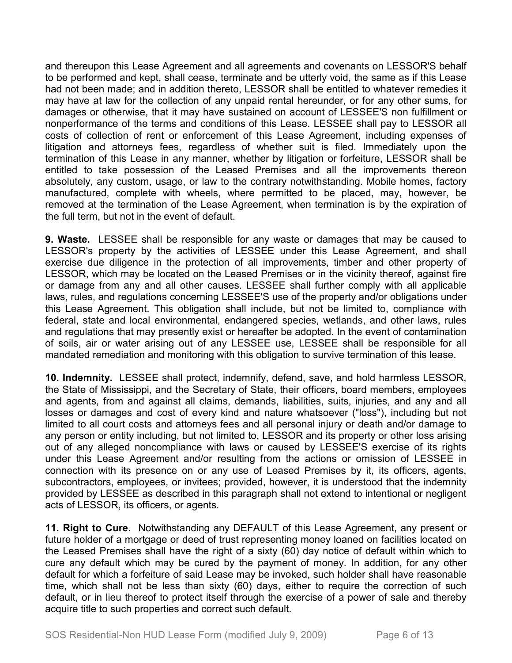and thereupon this Lease Agreement and all agreements and covenants on LESSOR'S behalf to be performed and kept, shall cease, terminate and be utterly void, the same as if this Lease had not been made; and in addition thereto, LESSOR shall be entitled to whatever remedies it may have at law for the collection of any unpaid rental hereunder, or for any other sums, for damages or otherwise, that it may have sustained on account of LESSEE'S non fulfillment or nonperformance of the terms and conditions of this Lease. LESSEE shall pay to LESSOR all costs of collection of rent or enforcement of this Lease Agreement, including expenses of litigation and attorneys fees, regardless of whether suit is filed. Immediately upon the termination of this Lease in any manner, whether by litigation or forfeiture, LESSOR shall be entitled to take possession of the Leased Premises and all the improvements thereon absolutely, any custom, usage, or law to the contrary notwithstanding. Mobile homes, factory manufactured, complete with wheels, where permitted to be placed, may, however, be removed at the termination of the Lease Agreement, when termination is by the expiration of the full term, but not in the event of default.

**9. Waste.** LESSEE shall be responsible for any waste or damages that may be caused to LESSOR's property by the activities of LESSEE under this Lease Agreement, and shall exercise due diligence in the protection of all improvements, timber and other property of LESSOR, which may be located on the Leased Premises or in the vicinity thereof, against fire or damage from any and all other causes. LESSEE shall further comply with all applicable laws, rules, and regulations concerning LESSEE'S use of the property and/or obligations under this Lease Agreement. This obligation shall include, but not be limited to, compliance with federal, state and local environmental, endangered species, wetlands, and other laws, rules and regulations that may presently exist or hereafter be adopted. In the event of contamination of soils, air or water arising out of any LESSEE use, LESSEE shall be responsible for all mandated remediation and monitoring with this obligation to survive termination of this lease.

**10. Indemnity.** LESSEE shall protect, indemnify, defend, save, and hold harmless LESSOR, the State of Mississippi, and the Secretary of State, their officers, board members, employees and agents, from and against all claims, demands, liabilities, suits, injuries, and any and all losses or damages and cost of every kind and nature whatsoever ("loss"), including but not limited to all court costs and attorneys fees and all personal injury or death and/or damage to any person or entity including, but not limited to, LESSOR and its property or other loss arising out of any alleged noncompliance with laws or caused by LESSEE'S exercise of its rights under this Lease Agreement and/or resulting from the actions or omission of LESSEE in connection with its presence on or any use of Leased Premises by it, its officers, agents, subcontractors, employees, or invitees; provided, however, it is understood that the indemnity provided by LESSEE as described in this paragraph shall not extend to intentional or negligent acts of LESSOR, its officers, or agents.

**11. Right to Cure.** Notwithstanding any DEFAULT of this Lease Agreement, any present or future holder of a mortgage or deed of trust representing money loaned on facilities located on the Leased Premises shall have the right of a sixty (60) day notice of default within which to cure any default which may be cured by the payment of money. In addition, for any other default for which a forfeiture of said Lease may be invoked, such holder shall have reasonable time, which shall not be less than sixty (60) days, either to require the correction of such default, or in lieu thereof to protect itself through the exercise of a power of sale and thereby acquire title to such properties and correct such default.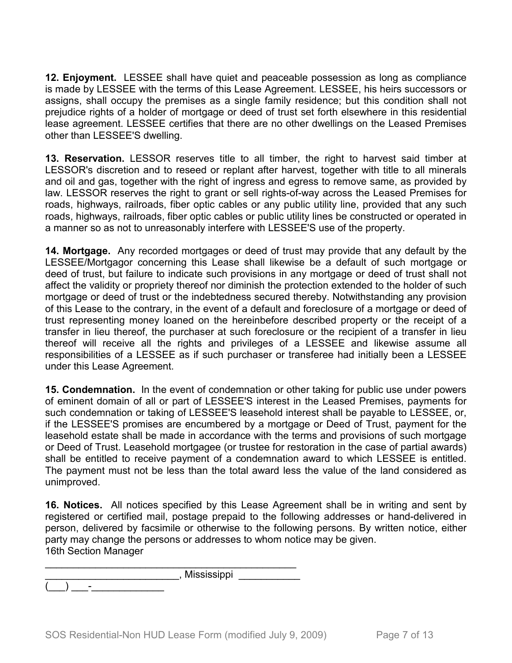**12. Enjoyment.** LESSEE shall have quiet and peaceable possession as long as compliance is made by LESSEE with the terms of this Lease Agreement. LESSEE, his heirs successors or assigns, shall occupy the premises as a single family residence; but this condition shall not prejudice rights of a holder of mortgage or deed of trust set forth elsewhere in this residential lease agreement. LESSEE certifies that there are no other dwellings on the Leased Premises other than LESSEE'S dwelling.

**13. Reservation.** LESSOR reserves title to all timber, the right to harvest said timber at LESSOR's discretion and to reseed or replant after harvest, together with title to all minerals and oil and gas, together with the right of ingress and egress to remove same, as provided by law. LESSOR reserves the right to grant or sell rights-of-way across the Leased Premises for roads, highways, railroads, fiber optic cables or any public utility line, provided that any such roads, highways, railroads, fiber optic cables or public utility lines be constructed or operated in a manner so as not to unreasonably interfere with LESSEE'S use of the property.

**14. Mortgage.** Any recorded mortgages or deed of trust may provide that any default by the LESSEE/Mortgagor concerning this Lease shall likewise be a default of such mortgage or deed of trust, but failure to indicate such provisions in any mortgage or deed of trust shall not affect the validity or propriety thereof nor diminish the protection extended to the holder of such mortgage or deed of trust or the indebtedness secured thereby. Notwithstanding any provision of this Lease to the contrary, in the event of a default and foreclosure of a mortgage or deed of trust representing money loaned on the hereinbefore described property or the receipt of a transfer in lieu thereof, the purchaser at such foreclosure or the recipient of a transfer in lieu thereof will receive all the rights and privileges of a LESSEE and likewise assume all responsibilities of a LESSEE as if such purchaser or transferee had initially been a LESSEE under this Lease Agreement.

**15. Condemnation.** In the event of condemnation or other taking for public use under powers of eminent domain of all or part of LESSEE'S interest in the Leased Premises, payments for such condemnation or taking of LESSEE'S leasehold interest shall be payable to LESSEE, or, if the LESSEE'S promises are encumbered by a mortgage or Deed of Trust, payment for the leasehold estate shall be made in accordance with the terms and provisions of such mortgage or Deed of Trust. Leasehold mortgagee (or trustee for restoration in the case of partial awards) shall be entitled to receive payment of a condemnation award to which LESSEE is entitled. The payment must not be less than the total award less the value of the land considered as unimproved.

**16. Notices.** All notices specified by this Lease Agreement shall be in writing and sent by registered or certified mail, postage prepaid to the following addresses or hand-delivered in person, delivered by facsimile or otherwise to the following persons. By written notice, either party may change the persons or addresses to whom notice may be given. 16th Section Manager

|   | , Mississippi |
|---|---------------|
| - |               |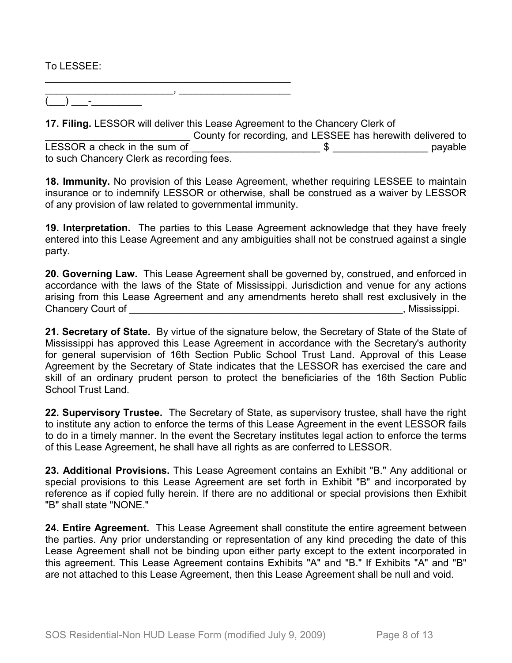To LESSEE:

\_\_\_\_\_\_\_\_\_\_\_\_\_\_\_\_\_\_\_\_\_\_\_, \_\_\_\_\_\_\_\_\_\_\_\_\_\_\_\_\_\_\_\_  $(\_\_) \_\_$  .

\_\_\_\_\_\_\_\_\_\_\_\_\_\_\_\_\_\_\_\_\_\_\_\_\_\_\_\_\_\_\_\_\_\_\_\_\_\_\_\_\_\_\_\_

**17. Filing.** LESSOR will deliver this Lease Agreement to the Chancery Clerk of

County for recording, and LESSEE has herewith delivered to LESSOR a check in the sum of  $\frac{1}{2}$   $\frac{1}{2}$   $\frac{1}{2}$   $\frac{1}{2}$   $\frac{1}{2}$   $\frac{1}{2}$   $\frac{1}{2}$   $\frac{1}{2}$   $\frac{1}{2}$   $\frac{1}{2}$   $\frac{1}{2}$   $\frac{1}{2}$   $\frac{1}{2}$   $\frac{1}{2}$   $\frac{1}{2}$   $\frac{1}{2}$   $\frac{1}{2}$   $\frac{1}{2}$   $\frac{1}{2}$   $\$ to such Chancery Clerk as recording fees.

**18. Immunity.** No provision of this Lease Agreement, whether requiring LESSEE to maintain insurance or to indemnify LESSOR or otherwise, shall be construed as a waiver by LESSOR of any provision of law related to governmental immunity.

**19. Interpretation.** The parties to this Lease Agreement acknowledge that they have freely entered into this Lease Agreement and any ambiguities shall not be construed against a single party.

**20. Governing Law.** This Lease Agreement shall be governed by, construed, and enforced in accordance with the laws of the State of Mississippi. Jurisdiction and venue for any actions arising from this Lease Agreement and any amendments hereto shall rest exclusively in the Chancery Court of **Exercise 2 and Secure 2 and Secure 2 and Security Court Court of Chancery Court of American** 

**21. Secretary of State.** By virtue of the signature below, the Secretary of State of the State of Mississippi has approved this Lease Agreement in accordance with the Secretary's authority for general supervision of 16th Section Public School Trust Land. Approval of this Lease Agreement by the Secretary of State indicates that the LESSOR has exercised the care and skill of an ordinary prudent person to protect the beneficiaries of the 16th Section Public School Trust Land.

**22. Supervisory Trustee.** The Secretary of State, as supervisory trustee, shall have the right to institute any action to enforce the terms of this Lease Agreement in the event LESSOR fails to do in a timely manner. In the event the Secretary institutes legal action to enforce the terms of this Lease Agreement, he shall have all rights as are conferred to LESSOR.

**23. Additional Provisions.** This Lease Agreement contains an Exhibit "B." Any additional or special provisions to this Lease Agreement are set forth in Exhibit "B" and incorporated by reference as if copied fully herein. If there are no additional or special provisions then Exhibit "B" shall state "NONE."

**24. Entire Agreement.** This Lease Agreement shall constitute the entire agreement between the parties. Any prior understanding or representation of any kind preceding the date of this Lease Agreement shall not be binding upon either party except to the extent incorporated in this agreement. This Lease Agreement contains Exhibits "A" and "B." If Exhibits "A" and "B" are not attached to this Lease Agreement, then this Lease Agreement shall be null and void.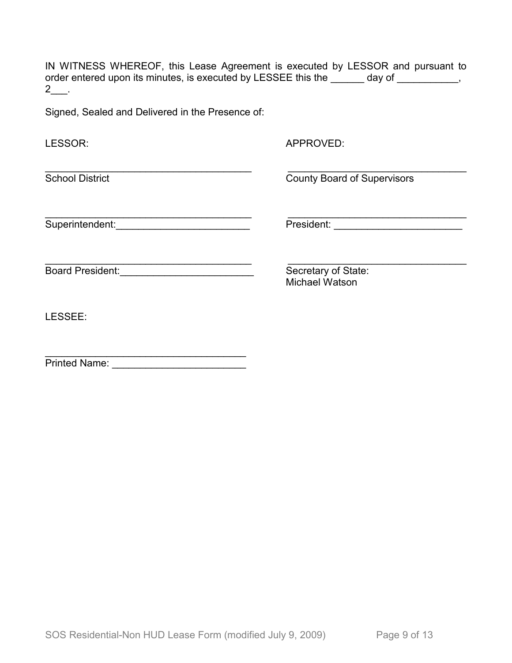IN WITNESS WHEREOF, this Lease Agreement is executed by LESSOR and pursuant to order entered upon its minutes, is executed by LESSEE this the \_\_\_\_\_\_ day of \_\_\_\_\_\_\_\_\_,  $2$ \_\_.

Signed, Sealed and Delivered in the Presence of:

| LESSOR:                 | APPROVED:                                    |
|-------------------------|----------------------------------------------|
| <b>School District</b>  | <b>County Board of Supervisors</b>           |
| Superintendent:         | President:                                   |
| <b>Board President:</b> | Secretary of State:<br><b>Michael Watson</b> |
| LESSEE:                 |                                              |
| <b>Printed Name:</b>    |                                              |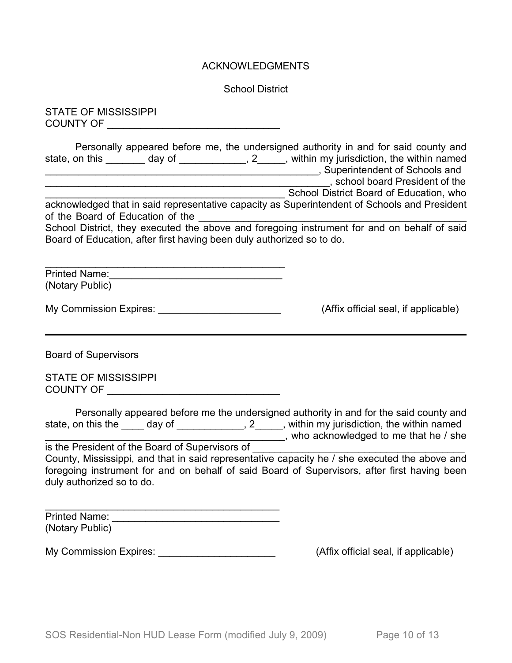## ACKNOWLEDGMENTS

School District

STATE OF MISSISSIPPI COUNTY OF \_\_\_\_\_\_\_\_\_\_\_\_\_\_\_\_\_\_\_\_\_\_\_\_\_\_\_\_\_\_\_

Personally appeared before me, the undersigned authority in and for said county and state, on this \_\_\_\_\_\_\_ day of \_\_\_\_\_\_\_\_\_\_\_, 2\_\_\_\_, within my jurisdiction, the within named \_\_\_\_\_\_\_\_\_\_\_\_\_\_\_\_\_\_\_\_\_\_\_\_\_\_\_\_\_\_\_\_\_\_\_\_\_\_\_\_\_\_\_\_\_\_\_\_\_, Superintendent of Schools and \_\_\_\_\_\_\_\_\_\_\_\_\_\_\_\_\_\_\_\_\_\_\_\_\_\_\_\_\_\_\_\_\_\_\_\_\_\_\_\_\_\_\_\_\_\_\_\_\_\_\_, school board President of the \_\_\_\_\_\_\_\_\_\_\_\_\_\_\_\_\_\_\_\_\_\_\_\_\_\_\_\_\_\_\_\_\_\_\_\_\_\_\_\_\_\_\_ School District Board of Education, who

acknowledged that in said representative capacity as Superintendent of Schools and President of the Board of Education of the \_\_\_\_\_\_\_\_\_\_\_\_\_\_\_\_\_\_\_\_\_\_\_\_\_\_\_\_\_\_\_\_\_\_\_\_\_\_\_\_\_\_\_\_\_\_\_\_

School District, they executed the above and foregoing instrument for and on behalf of said Board of Education, after first having been duly authorized so to do.

\_\_\_\_\_\_\_\_\_\_\_\_\_\_\_\_\_\_\_\_\_\_\_\_\_\_\_\_\_\_\_\_\_\_\_\_\_\_\_\_\_\_\_ Printed Name: (Notary Public)

My Commission Expires: \_\_\_\_\_\_\_\_\_\_\_\_\_\_\_\_\_\_\_\_\_\_\_\_\_\_\_\_\_\_(Affix official seal, if applicable)

Board of Supervisors

STATE OF MISSISSIPPI COUNTY OF \_\_\_\_\_\_\_\_\_\_\_\_\_\_\_\_\_\_\_\_\_\_\_\_\_\_\_\_\_\_\_

|                    |        | Personally appeared before me the undersigned authority in and for the said county and |
|--------------------|--------|----------------------------------------------------------------------------------------|
| state, on this the | day of | , within my jurisdiction, the within named                                             |
|                    |        | who acknowledged to me that he / she                                                   |

is the President of the Board of Supervisors of County, Mississippi, and that in said representative capacity he / she executed the above and foregoing instrument for and on behalf of said Board of Supervisors, after first having been duly authorized so to do.

\_\_\_\_\_\_\_\_\_\_\_\_\_\_\_\_\_\_\_\_\_\_\_\_\_\_\_\_\_\_\_\_\_\_\_\_\_\_\_\_\_\_ Printed Name: \_\_\_\_\_\_\_\_\_\_\_\_\_\_\_\_\_\_\_\_\_\_\_\_\_\_\_\_\_\_ (Notary Public)

My Commission Expires: \_\_\_\_\_\_\_\_\_\_\_\_\_\_\_\_\_\_\_\_\_\_\_\_\_\_\_\_\_\_\_\_(Affix official seal, if applicable)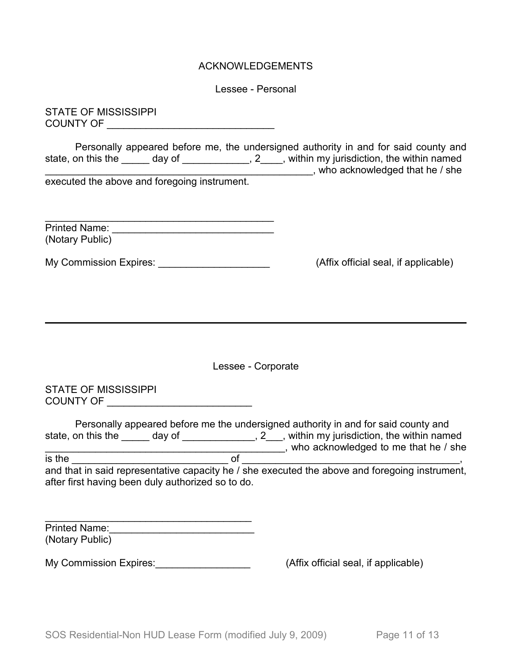## ACKNOWLEDGEMENTS

Lessee - Personal

STATE OF MISSISSIPPI COUNTY OF \_\_\_\_\_\_\_\_\_\_\_\_\_\_\_\_\_\_\_\_\_\_\_\_\_\_\_\_\_\_

Personally appeared before me, the undersigned authority in and for said county and state, on this the \_\_\_\_\_ day of \_\_\_\_\_\_\_\_\_\_\_, 2\_\_\_\_, within my jurisdiction, the within named \_\_\_\_\_\_\_\_\_\_\_\_\_\_\_\_\_\_\_\_\_\_\_\_\_\_\_\_\_\_\_\_\_\_\_\_\_\_\_\_\_\_\_\_\_\_\_\_, who acknowledged that he / she

executed the above and foregoing instrument.

| <b>Printed Name:</b> |  |
|----------------------|--|
| (Notary Public)      |  |

My Commission Expires: \_\_\_\_\_\_\_\_\_\_\_\_\_\_\_\_\_\_\_\_\_\_\_\_\_\_\_\_\_\_\_(Affix official seal, if applicable)

Lessee - Corporate

STATE OF MISSISSIPPI COUNTY OF \_\_\_\_\_\_\_\_\_\_\_\_\_\_\_\_\_\_\_\_\_\_\_\_\_\_

Personally appeared before me the undersigned authority in and for said county and state, on this the \_\_\_\_\_\_ day of \_\_\_\_\_\_\_\_\_\_\_\_\_\_, 2\_\_\_, within my jurisdiction, the within named \_\_\_\_\_\_\_\_\_\_\_\_\_\_\_\_\_\_\_\_\_\_\_\_\_\_\_\_\_\_\_\_\_\_\_\_\_\_\_\_\_\_\_, who acknowledged to me that he / she

is the \_\_\_\_\_\_\_\_\_\_\_\_\_\_\_\_\_\_\_\_\_\_\_\_\_\_\_\_ of \_\_\_\_\_\_\_\_\_\_\_\_\_\_\_\_\_\_\_\_\_\_\_\_\_\_\_\_\_\_\_\_\_\_\_\_\_\_\_, and that in said representative capacity he / she executed the above and foregoing instrument, after first having been duly authorized so to do.

| <b>Printed Name:</b> |  |
|----------------------|--|
| (Notary Public)      |  |

My Commission Expires: My Commission Expires:  $(Affix)$  official seal, if applicable)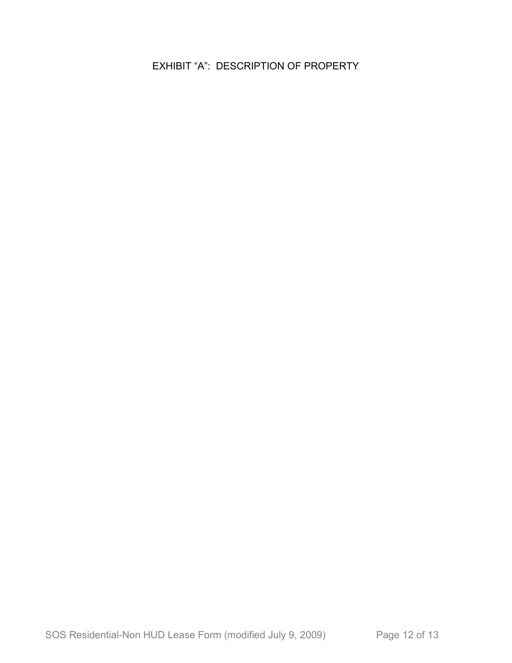EXHIBIT "A": DESCRIPTION OF PROPERTY